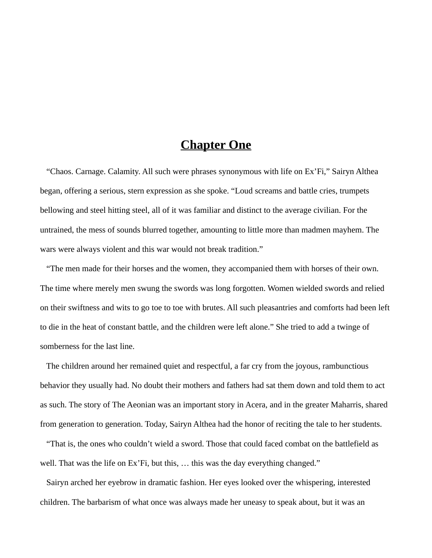## **Chapter One**

 "Chaos. Carnage. Calamity. All such were phrases synonymous with life on Ex'Fi," Sairyn Althea began, offering a serious, stern expression as she spoke. "Loud screams and battle cries, trumpets bellowing and steel hitting steel, all of it was familiar and distinct to the average civilian. For the untrained, the mess of sounds blurred together, amounting to little more than madmen mayhem. The wars were always violent and this war would not break tradition."

 "The men made for their horses and the women, they accompanied them with horses of their own. The time where merely men swung the swords was long forgotten. Women wielded swords and relied on their swiftness and wits to go toe to toe with brutes. All such pleasantries and comforts had been left to die in the heat of constant battle, and the children were left alone." She tried to add a twinge of somberness for the last line.

 The children around her remained quiet and respectful, a far cry from the joyous, rambunctious behavior they usually had. No doubt their mothers and fathers had sat them down and told them to act as such. The story of The Aeonian was an important story in Acera, and in the greater Maharris, shared from generation to generation. Today, Sairyn Althea had the honor of reciting the tale to her students.

 "That is, the ones who couldn't wield a sword. Those that could faced combat on the battlefield as well. That was the life on Ex'Fi, but this, ... this was the day everything changed."

 Sairyn arched her eyebrow in dramatic fashion. Her eyes looked over the whispering, interested children. The barbarism of what once was always made her uneasy to speak about, but it was an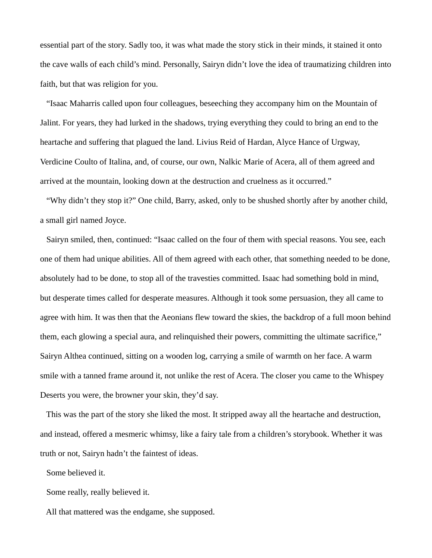essential part of the story. Sadly too, it was what made the story stick in their minds, it stained it onto the cave walls of each child's mind. Personally, Sairyn didn't love the idea of traumatizing children into faith, but that was religion for you.

 "Isaac Maharris called upon four colleagues, beseeching they accompany him on the Mountain of Jalint. For years, they had lurked in the shadows, trying everything they could to bring an end to the heartache and suffering that plagued the land. Livius Reid of Hardan, Alyce Hance of Urgway, Verdicine Coulto of Italina, and, of course, our own, Nalkic Marie of Acera, all of them agreed and arrived at the mountain, looking down at the destruction and cruelness as it occurred."

 "Why didn't they stop it?" One child, Barry, asked, only to be shushed shortly after by another child, a small girl named Joyce.

 Sairyn smiled, then, continued: "Isaac called on the four of them with special reasons. You see, each one of them had unique abilities. All of them agreed with each other, that something needed to be done, absolutely had to be done, to stop all of the travesties committed. Isaac had something bold in mind, but desperate times called for desperate measures. Although it took some persuasion, they all came to agree with him. It was then that the Aeonians flew toward the skies, the backdrop of a full moon behind them, each glowing a special aura, and relinquished their powers, committing the ultimate sacrifice," Sairyn Althea continued, sitting on a wooden log, carrying a smile of warmth on her face. A warm smile with a tanned frame around it, not unlike the rest of Acera. The closer you came to the Whispey Deserts you were, the browner your skin, they'd say.

 This was the part of the story she liked the most. It stripped away all the heartache and destruction, and instead, offered a mesmeric whimsy, like a fairy tale from a children's storybook. Whether it was truth or not, Sairyn hadn't the faintest of ideas.

Some believed it.

Some really, really believed it.

All that mattered was the endgame, she supposed.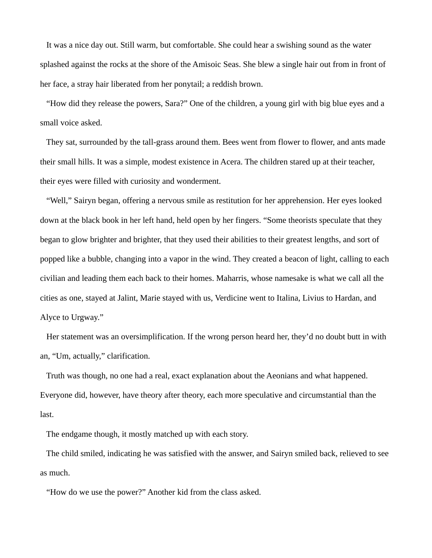It was a nice day out. Still warm, but comfortable. She could hear a swishing sound as the water splashed against the rocks at the shore of the Amisoic Seas. She blew a single hair out from in front of her face, a stray hair liberated from her ponytail; a reddish brown.

 "How did they release the powers, Sara?" One of the children, a young girl with big blue eyes and a small voice asked.

 They sat, surrounded by the tall-grass around them. Bees went from flower to flower, and ants made their small hills. It was a simple, modest existence in Acera. The children stared up at their teacher, their eyes were filled with curiosity and wonderment.

 "Well," Sairyn began, offering a nervous smile as restitution for her apprehension. Her eyes looked down at the black book in her left hand, held open by her fingers. "Some theorists speculate that they began to glow brighter and brighter, that they used their abilities to their greatest lengths, and sort of popped like a bubble, changing into a vapor in the wind. They created a beacon of light, calling to each civilian and leading them each back to their homes. Maharris, whose namesake is what we call all the cities as one, stayed at Jalint, Marie stayed with us, Verdicine went to Italina, Livius to Hardan, and Alyce to Urgway."

 Her statement was an oversimplification. If the wrong person heard her, they'd no doubt butt in with an, "Um, actually," clarification.

 Truth was though, no one had a real, exact explanation about the Aeonians and what happened. Everyone did, however, have theory after theory, each more speculative and circumstantial than the last.

The endgame though, it mostly matched up with each story.

 The child smiled, indicating he was satisfied with the answer, and Sairyn smiled back, relieved to see as much.

"How do we use the power?" Another kid from the class asked.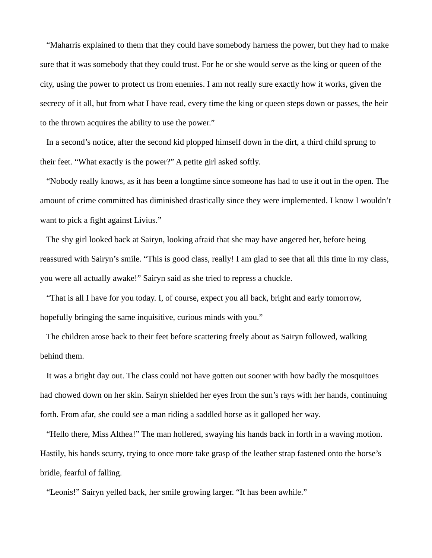"Maharris explained to them that they could have somebody harness the power, but they had to make sure that it was somebody that they could trust. For he or she would serve as the king or queen of the city, using the power to protect us from enemies. I am not really sure exactly how it works, given the secrecy of it all, but from what I have read, every time the king or queen steps down or passes, the heir to the thrown acquires the ability to use the power."

 In a second's notice, after the second kid plopped himself down in the dirt, a third child sprung to their feet. "What exactly is the power?" A petite girl asked softly.

 "Nobody really knows, as it has been a longtime since someone has had to use it out in the open. The amount of crime committed has diminished drastically since they were implemented. I know I wouldn't want to pick a fight against Livius."

 The shy girl looked back at Sairyn, looking afraid that she may have angered her, before being reassured with Sairyn's smile. "This is good class, really! I am glad to see that all this time in my class, you were all actually awake!" Sairyn said as she tried to repress a chuckle.

 "That is all I have for you today. I, of course, expect you all back, bright and early tomorrow, hopefully bringing the same inquisitive, curious minds with you."

 The children arose back to their feet before scattering freely about as Sairyn followed, walking behind them.

 It was a bright day out. The class could not have gotten out sooner with how badly the mosquitoes had chowed down on her skin. Sairyn shielded her eyes from the sun's rays with her hands, continuing forth. From afar, she could see a man riding a saddled horse as it galloped her way.

 "Hello there, Miss Althea!" The man hollered, swaying his hands back in forth in a waving motion. Hastily, his hands scurry, trying to once more take grasp of the leather strap fastened onto the horse's bridle, fearful of falling.

"Leonis!" Sairyn yelled back, her smile growing larger. "It has been awhile."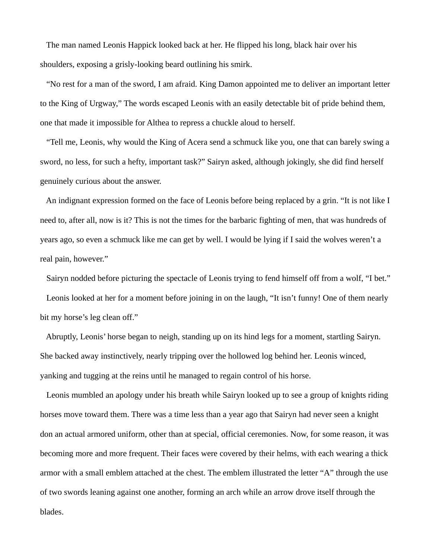The man named Leonis Happick looked back at her. He flipped his long, black hair over his shoulders, exposing a grisly-looking beard outlining his smirk.

 "No rest for a man of the sword, I am afraid. King Damon appointed me to deliver an important letter to the King of Urgway," The words escaped Leonis with an easily detectable bit of pride behind them, one that made it impossible for Althea to repress a chuckle aloud to herself.

 "Tell me, Leonis, why would the King of Acera send a schmuck like you, one that can barely swing a sword, no less, for such a hefty, important task?" Sairyn asked, although jokingly, she did find herself genuinely curious about the answer.

 An indignant expression formed on the face of Leonis before being replaced by a grin. "It is not like I need to, after all, now is it? This is not the times for the barbaric fighting of men, that was hundreds of years ago, so even a schmuck like me can get by well. I would be lying if I said the wolves weren't a real pain, however."

 Sairyn nodded before picturing the spectacle of Leonis trying to fend himself off from a wolf, "I bet." Leonis looked at her for a moment before joining in on the laugh, "It isn't funny! One of them nearly bit my horse's leg clean off."

 Abruptly, Leonis' horse began to neigh, standing up on its hind legs for a moment, startling Sairyn. She backed away instinctively, nearly tripping over the hollowed log behind her. Leonis winced, yanking and tugging at the reins until he managed to regain control of his horse.

 Leonis mumbled an apology under his breath while Sairyn looked up to see a group of knights riding horses move toward them. There was a time less than a year ago that Sairyn had never seen a knight don an actual armored uniform, other than at special, official ceremonies. Now, for some reason, it was becoming more and more frequent. Their faces were covered by their helms, with each wearing a thick armor with a small emblem attached at the chest. The emblem illustrated the letter "A" through the use of two swords leaning against one another, forming an arch while an arrow drove itself through the blades.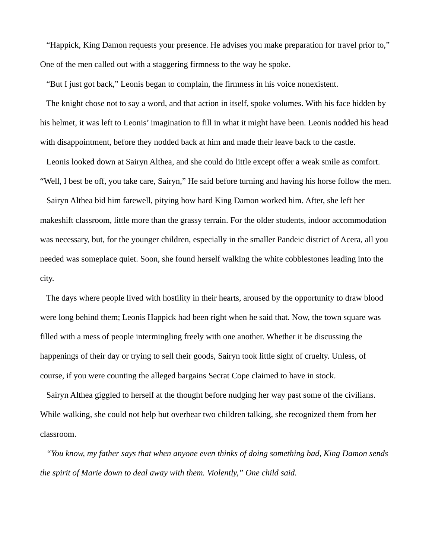"Happick, King Damon requests your presence. He advises you make preparation for travel prior to," One of the men called out with a staggering firmness to the way he spoke.

"But I just got back," Leonis began to complain, the firmness in his voice nonexistent.

 The knight chose not to say a word, and that action in itself, spoke volumes. With his face hidden by his helmet, it was left to Leonis' imagination to fill in what it might have been. Leonis nodded his head with disappointment, before they nodded back at him and made their leave back to the castle.

 Leonis looked down at Sairyn Althea, and she could do little except offer a weak smile as comfort. "Well, I best be off, you take care, Sairyn," He said before turning and having his horse follow the men.

 Sairyn Althea bid him farewell, pitying how hard King Damon worked him. After, she left her makeshift classroom, little more than the grassy terrain. For the older students, indoor accommodation was necessary, but, for the younger children, especially in the smaller Pandeic district of Acera, all you needed was someplace quiet. Soon, she found herself walking the white cobblestones leading into the city.

 The days where people lived with hostility in their hearts, aroused by the opportunity to draw blood were long behind them; Leonis Happick had been right when he said that. Now, the town square was filled with a mess of people intermingling freely with one another. Whether it be discussing the happenings of their day or trying to sell their goods, Sairyn took little sight of cruelty. Unless, of course, if you were counting the alleged bargains Secrat Cope claimed to have in stock.

 Sairyn Althea giggled to herself at the thought before nudging her way past some of the civilians. While walking, she could not help but overhear two children talking, she recognized them from her classroom.

 *"You know, my father says that when anyone even thinks of doing something bad, King Damon sends the spirit of Marie down to deal away with them. Violently," One child said.*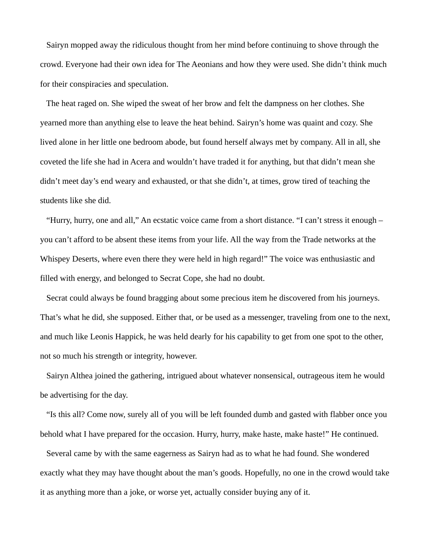Sairyn mopped away the ridiculous thought from her mind before continuing to shove through the crowd. Everyone had their own idea for The Aeonians and how they were used. She didn't think much for their conspiracies and speculation.

 The heat raged on. She wiped the sweat of her brow and felt the dampness on her clothes. She yearned more than anything else to leave the heat behind. Sairyn's home was quaint and cozy. She lived alone in her little one bedroom abode, but found herself always met by company. All in all, she coveted the life she had in Acera and wouldn't have traded it for anything, but that didn't mean she didn't meet day's end weary and exhausted, or that she didn't, at times, grow tired of teaching the students like she did.

 "Hurry, hurry, one and all," An ecstatic voice came from a short distance. "I can't stress it enough – you can't afford to be absent these items from your life. All the way from the Trade networks at the Whispey Deserts, where even there they were held in high regard!" The voice was enthusiastic and filled with energy, and belonged to Secrat Cope, she had no doubt.

 Secrat could always be found bragging about some precious item he discovered from his journeys. That's what he did, she supposed. Either that, or be used as a messenger, traveling from one to the next, and much like Leonis Happick, he was held dearly for his capability to get from one spot to the other, not so much his strength or integrity, however.

 Sairyn Althea joined the gathering, intrigued about whatever nonsensical, outrageous item he would be advertising for the day.

 "Is this all? Come now, surely all of you will be left founded dumb and gasted with flabber once you behold what I have prepared for the occasion. Hurry, hurry, make haste, make haste!" He continued.

 Several came by with the same eagerness as Sairyn had as to what he had found. She wondered exactly what they may have thought about the man's goods. Hopefully, no one in the crowd would take it as anything more than a joke, or worse yet, actually consider buying any of it.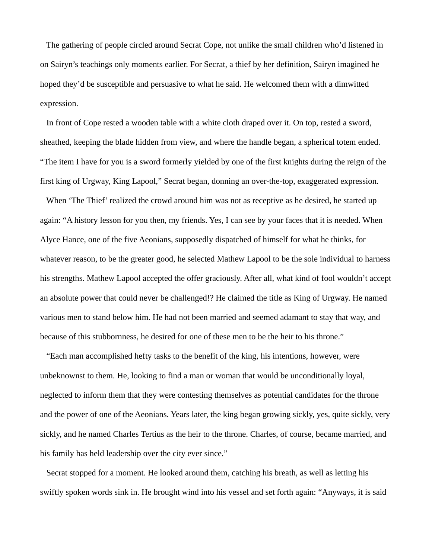The gathering of people circled around Secrat Cope, not unlike the small children who'd listened in on Sairyn's teachings only moments earlier. For Secrat, a thief by her definition, Sairyn imagined he hoped they'd be susceptible and persuasive to what he said. He welcomed them with a dimwitted expression.

 In front of Cope rested a wooden table with a white cloth draped over it. On top, rested a sword, sheathed, keeping the blade hidden from view, and where the handle began, a spherical totem ended. "The item I have for you is a sword formerly yielded by one of the first knights during the reign of the first king of Urgway, King Lapool," Secrat began, donning an over-the-top, exaggerated expression.

 When 'The Thief' realized the crowd around him was not as receptive as he desired, he started up again: "A history lesson for you then, my friends. Yes, I can see by your faces that it is needed. When Alyce Hance, one of the five Aeonians, supposedly dispatched of himself for what he thinks, for whatever reason, to be the greater good, he selected Mathew Lapool to be the sole individual to harness his strengths. Mathew Lapool accepted the offer graciously. After all, what kind of fool wouldn't accept an absolute power that could never be challenged!? He claimed the title as King of Urgway. He named various men to stand below him. He had not been married and seemed adamant to stay that way, and because of this stubbornness, he desired for one of these men to be the heir to his throne."

 "Each man accomplished hefty tasks to the benefit of the king, his intentions, however, were unbeknownst to them. He, looking to find a man or woman that would be unconditionally loyal, neglected to inform them that they were contesting themselves as potential candidates for the throne and the power of one of the Aeonians. Years later, the king began growing sickly, yes, quite sickly, very sickly, and he named Charles Tertius as the heir to the throne. Charles, of course, became married, and his family has held leadership over the city ever since."

 Secrat stopped for a moment. He looked around them, catching his breath, as well as letting his swiftly spoken words sink in. He brought wind into his vessel and set forth again: "Anyways, it is said